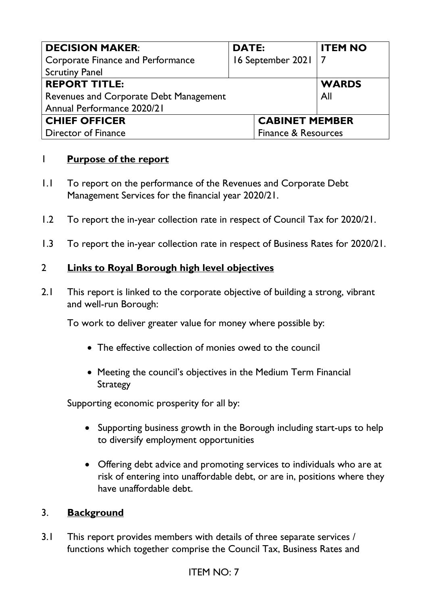| <b>DECISION MAKER:</b>                                       | <b>DATE:</b> |                       | <b>ITEM NO</b> |
|--------------------------------------------------------------|--------------|-----------------------|----------------|
| <b>Corporate Finance and Performance</b>                     |              | 16 September 2021   7 |                |
| <b>Scrutiny Panel</b>                                        |              |                       |                |
| <b>REPORT TITLE:</b>                                         |              |                       | <b>WARDS</b>   |
| Revenues and Corporate Debt Management                       |              |                       | All            |
| Annual Performance 2020/21                                   |              |                       |                |
| <b>CHIEF OFFICER</b><br><b>CABINET MEMBER</b>                |              |                       |                |
| <b>Finance &amp; Resources</b><br><b>Director of Finance</b> |              |                       |                |

## 1 **Purpose of the report**

- 1.1 To report on the performance of the Revenues and Corporate Debt Management Services for the financial year 2020/21.
- 1.2 To report the in-year collection rate in respect of Council Tax for 2020/21.
- 1.3 To report the in-year collection rate in respect of Business Rates for 2020/21.

## 2 **Links to Royal Borough high level objectives**

2.1 This report is linked to the corporate objective of building a strong, vibrant and well-run Borough:

To work to deliver greater value for money where possible by:

- The effective collection of monies owed to the council
- Meeting the council's objectives in the Medium Term Financial **Strategy**

Supporting economic prosperity for all by:

- Supporting business growth in the Borough including start-ups to help to diversify employment opportunities
- Offering debt advice and promoting services to individuals who are at risk of entering into unaffordable debt, or are in, positions where they have unaffordable debt.

## 3. **Background**

3.1 This report provides members with details of three separate services / functions which together comprise the Council Tax, Business Rates and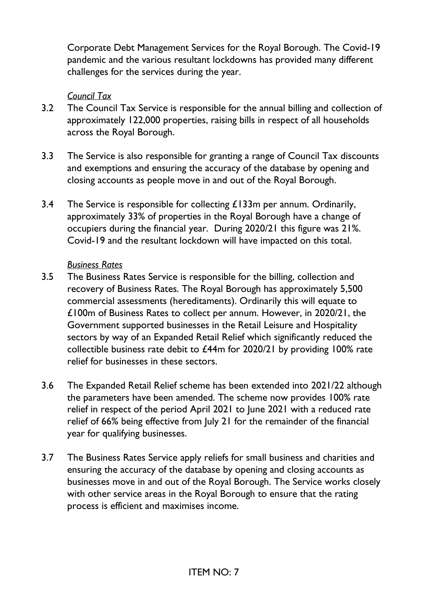Corporate Debt Management Services for the Royal Borough. The Covid-19 pandemic and the various resultant lockdowns has provided many different challenges for the services during the year.

## *Council Tax*

- 3.2 The Council Tax Service is responsible for the annual billing and collection of approximately 122,000 properties, raising bills in respect of all households across the Royal Borough.
- 3.3 The Service is also responsible for granting a range of Council Tax discounts and exemptions and ensuring the accuracy of the database by opening and closing accounts as people move in and out of the Royal Borough.
- 3.4 The Service is responsible for collecting  $\pounds$ 133m per annum. Ordinarily, approximately 33% of properties in the Royal Borough have a change of occupiers during the financial year. During 2020/21 this figure was 21%. Covid-19 and the resultant lockdown will have impacted on this total.

#### *Business Rates*

- 3.5 The Business Rates Service is responsible for the billing, collection and recovery of Business Rates. The Royal Borough has approximately 5,500 commercial assessments (hereditaments). Ordinarily this will equate to £100m of Business Rates to collect per annum. However, in 2020/21, the Government supported businesses in the Retail Leisure and Hospitality sectors by way of an Expanded Retail Relief which significantly reduced the collectible business rate debit to £44m for 2020/21 by providing 100% rate relief for businesses in these sectors.
- 3.6 The Expanded Retail Relief scheme has been extended into 2021/22 although the parameters have been amended. The scheme now provides 100% rate relief in respect of the period April 2021 to June 2021 with a reduced rate relief of 66% being effective from July 21 for the remainder of the financial year for qualifying businesses.
- 3.7 The Business Rates Service apply reliefs for small business and charities and ensuring the accuracy of the database by opening and closing accounts as businesses move in and out of the Royal Borough. The Service works closely with other service areas in the Royal Borough to ensure that the rating process is efficient and maximises income.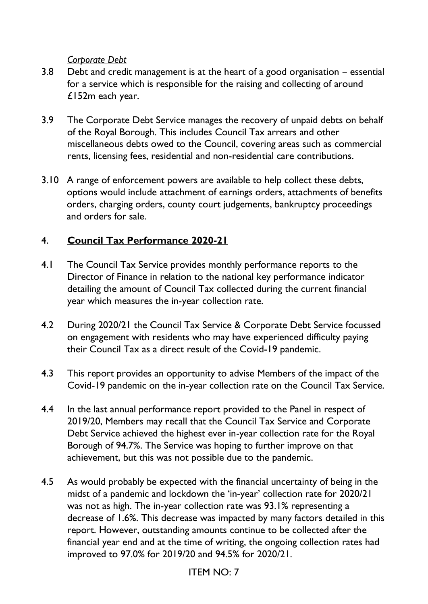#### *Corporate Debt*

- 3.8 Debt and credit management is at the heart of a good organisation essential for a service which is responsible for the raising and collecting of around £152m each year.
- 3.9 The Corporate Debt Service manages the recovery of unpaid debts on behalf of the Royal Borough. This includes Council Tax arrears and other miscellaneous debts owed to the Council, covering areas such as commercial rents, licensing fees, residential and non-residential care contributions.
- 3.10 A range of enforcement powers are available to help collect these debts, options would include attachment of earnings orders, attachments of benefits orders, charging orders, county court judgements, bankruptcy proceedings and orders for sale.

## 4. **Council Tax Performance 2020-21**

- 4.1 The Council Tax Service provides monthly performance reports to the Director of Finance in relation to the national key performance indicator detailing the amount of Council Tax collected during the current financial year which measures the in-year collection rate.
- 4.2 During 2020/21 the Council Tax Service & Corporate Debt Service focussed on engagement with residents who may have experienced difficulty paying their Council Tax as a direct result of the Covid-19 pandemic.
- 4.3 This report provides an opportunity to advise Members of the impact of the Covid-19 pandemic on the in-year collection rate on the Council Tax Service.
- 4.4 In the last annual performance report provided to the Panel in respect of 2019/20, Members may recall that the Council Tax Service and Corporate Debt Service achieved the highest ever in-year collection rate for the Royal Borough of 94.7%. The Service was hoping to further improve on that achievement, but this was not possible due to the pandemic.
- 4.5 As would probably be expected with the financial uncertainty of being in the midst of a pandemic and lockdown the 'in-year' collection rate for 2020/21 was not as high. The in-year collection rate was 93.1% representing a decrease of 1.6%. This decrease was impacted by many factors detailed in this report. However, outstanding amounts continue to be collected after the financial year end and at the time of writing, the ongoing collection rates had improved to 97.0% for 2019/20 and 94.5% for 2020/21.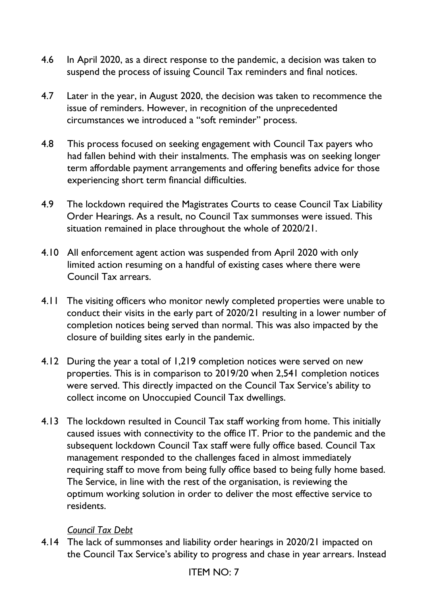- 4.6 In April 2020, as a direct response to the pandemic, a decision was taken to suspend the process of issuing Council Tax reminders and final notices.
- 4.7 Later in the year, in August 2020, the decision was taken to recommence the issue of reminders. However, in recognition of the unprecedented circumstances we introduced a "soft reminder" process.
- 4.8 This process focused on seeking engagement with Council Tax payers who had fallen behind with their instalments. The emphasis was on seeking longer term affordable payment arrangements and offering benefits advice for those experiencing short term financial difficulties.
- 4.9 The lockdown required the Magistrates Courts to cease Council Tax Liability Order Hearings. As a result, no Council Tax summonses were issued. This situation remained in place throughout the whole of 2020/21.
- 4.10 All enforcement agent action was suspended from April 2020 with only limited action resuming on a handful of existing cases where there were Council Tax arrears.
- 4.11 The visiting officers who monitor newly completed properties were unable to conduct their visits in the early part of 2020/21 resulting in a lower number of completion notices being served than normal. This was also impacted by the closure of building sites early in the pandemic.
- 4.12 During the year a total of 1,219 completion notices were served on new properties. This is in comparison to 2019/20 when 2,541 completion notices were served. This directly impacted on the Council Tax Service's ability to collect income on Unoccupied Council Tax dwellings.
- 4.13 The lockdown resulted in Council Tax staff working from home. This initially caused issues with connectivity to the office IT. Prior to the pandemic and the subsequent lockdown Council Tax staff were fully office based. Council Tax management responded to the challenges faced in almost immediately requiring staff to move from being fully office based to being fully home based. The Service, in line with the rest of the organisation, is reviewing the optimum working solution in order to deliver the most effective service to residents.

## *Council Tax Debt*

4.14 The lack of summonses and liability order hearings in 2020/21 impacted on the Council Tax Service's ability to progress and chase in year arrears. Instead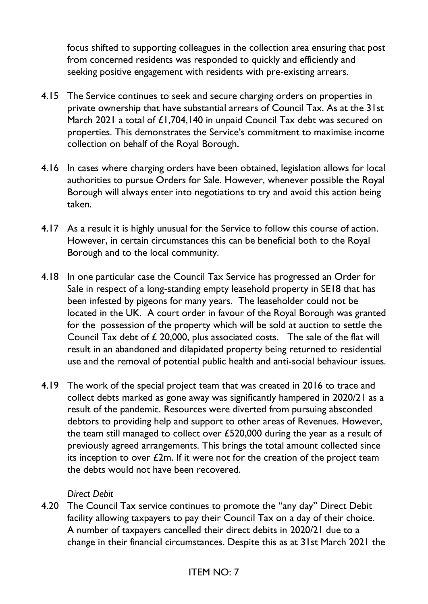focus shifted to supporting colleagues in the collection area ensuring that post from concerned residents was responded to quickly and efficiently and seeking positive engagement with residents with pre-existing arrears.

- 4.15 The Service continues to seek and secure charging orders on properties in private ownership that have substantial arrears of Council Tax. As at the 31st March 2021 a total of £1,704,140 in unpaid Council Tax debt was secured on properties. This demonstrates the Service's commitment to maximise income collection on behalf of the Royal Borough.
- 4.16 In cases where charging orders have been obtained, legislation allows for local authorities to pursue Orders for Sale. However, whenever possible the Royal Borough will always enter into negotiations to try and avoid this action being taken.
- 4.17 As a result it is highly unusual for the Service to follow this course of action. However, in certain circumstances this can be beneficial both to the Royal Borough and to the local community.
- 4.18 In one particular case the Council Tax Service has progressed an Order for Sale in respect of a long-standing empty leasehold property in SE18 that has been infested by pigeons for many years. The leaseholder could not be located in the UK. A court order in favour of the Royal Borough was granted for the possession of the property which will be sold at auction to settle the Council Tax debt of £ 20,000, plus associated costs. The sale of the flat will result in an abandoned and dilapidated property being returned to residential use and the removal of potential public health and anti-social behaviour issues.
- 4.19 The work of the special project team that was created in 2016 to trace and collect debts marked as gone away was significantly hampered in 2020/21 as a result of the pandemic. Resources were diverted from pursuing absconded debtors to providing help and support to other areas of Revenues. However, the team still managed to collect over £520,000 during the year as a result of previously agreed arrangements. This brings the total amount collected since its inception to over  $£2m$ . If it were not for the creation of the project team the debts would not have been recovered.

## *Direct Debit*

4.20 The Council Tax service continues to promote the "any day" Direct Debit facility allowing taxpayers to pay their Council Tax on a day of their choice. A number of taxpayers cancelled their direct debits in 2020/21 due to a change in their financial circumstances. Despite this as at 31st March 2021 the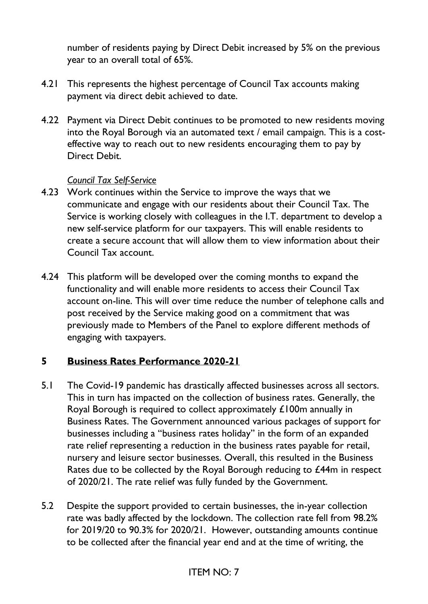number of residents paying by Direct Debit increased by 5% on the previous year to an overall total of 65%.

- 4.21 This represents the highest percentage of Council Tax accounts making payment via direct debit achieved to date.
- 4.22 Payment via Direct Debit continues to be promoted to new residents moving into the Royal Borough via an automated text / email campaign. This is a costeffective way to reach out to new residents encouraging them to pay by Direct Debit.

#### *Council Tax Self-Service*

- 4.23 Work continues within the Service to improve the ways that we communicate and engage with our residents about their Council Tax. The Service is working closely with colleagues in the I.T. department to develop a new self-service platform for our taxpayers. This will enable residents to create a secure account that will allow them to view information about their Council Tax account.
- 4.24 This platform will be developed over the coming months to expand the functionality and will enable more residents to access their Council Tax account on-line. This will over time reduce the number of telephone calls and post received by the Service making good on a commitment that was previously made to Members of the Panel to explore different methods of engaging with taxpayers.

#### **5 Business Rates Performance 2020-21**

- 5.1 The Covid-19 pandemic has drastically affected businesses across all sectors. This in turn has impacted on the collection of business rates. Generally, the Royal Borough is required to collect approximately £100m annually in Business Rates. The Government announced various packages of support for businesses including a "business rates holiday" in the form of an expanded rate relief representing a reduction in the business rates payable for retail, nursery and leisure sector businesses. Overall, this resulted in the Business Rates due to be collected by the Royal Borough reducing to £44m in respect of 2020/21. The rate relief was fully funded by the Government.
- 5.2 Despite the support provided to certain businesses, the in-year collection rate was badly affected by the lockdown. The collection rate fell from 98.2% for 2019/20 to 90.3% for 2020/21. However, outstanding amounts continue to be collected after the financial year end and at the time of writing, the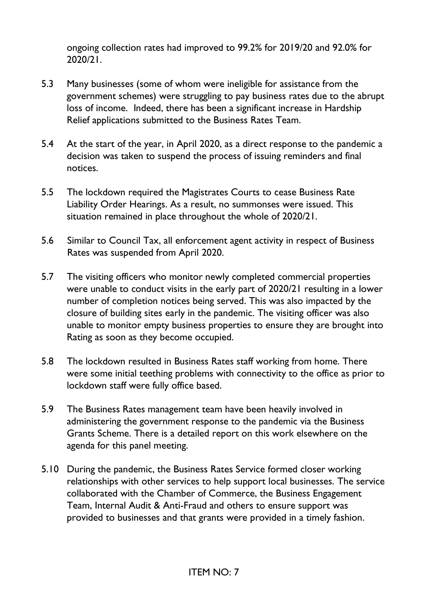ongoing collection rates had improved to 99.2% for 2019/20 and 92.0% for 2020/21.

- 5.3 Many businesses (some of whom were ineligible for assistance from the government schemes) were struggling to pay business rates due to the abrupt loss of income. Indeed, there has been a significant increase in Hardship Relief applications submitted to the Business Rates Team.
- 5.4 At the start of the year, in April 2020, as a direct response to the pandemic a decision was taken to suspend the process of issuing reminders and final notices.
- 5.5 The lockdown required the Magistrates Courts to cease Business Rate Liability Order Hearings. As a result, no summonses were issued. This situation remained in place throughout the whole of 2020/21.
- 5.6 Similar to Council Tax, all enforcement agent activity in respect of Business Rates was suspended from April 2020.
- 5.7 The visiting officers who monitor newly completed commercial properties were unable to conduct visits in the early part of 2020/21 resulting in a lower number of completion notices being served. This was also impacted by the closure of building sites early in the pandemic. The visiting officer was also unable to monitor empty business properties to ensure they are brought into Rating as soon as they become occupied.
- 5.8 The lockdown resulted in Business Rates staff working from home. There were some initial teething problems with connectivity to the office as prior to lockdown staff were fully office based.
- 5.9 The Business Rates management team have been heavily involved in administering the government response to the pandemic via the Business Grants Scheme. There is a detailed report on this work elsewhere on the agenda for this panel meeting.
- 5.10 During the pandemic, the Business Rates Service formed closer working relationships with other services to help support local businesses. The service collaborated with the Chamber of Commerce, the Business Engagement Team, Internal Audit & Anti-Fraud and others to ensure support was provided to businesses and that grants were provided in a timely fashion.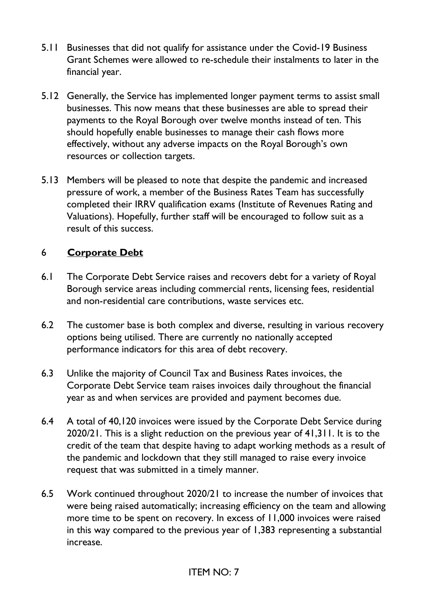- 5.11 Businesses that did not qualify for assistance under the Covid-19 Business Grant Schemes were allowed to re-schedule their instalments to later in the financial year.
- 5.12 Generally, the Service has implemented longer payment terms to assist small businesses. This now means that these businesses are able to spread their payments to the Royal Borough over twelve months instead of ten. This should hopefully enable businesses to manage their cash flows more effectively, without any adverse impacts on the Royal Borough's own resources or collection targets.
- 5.13 Members will be pleased to note that despite the pandemic and increased pressure of work, a member of the Business Rates Team has successfully completed their IRRV qualification exams (Institute of Revenues Rating and Valuations). Hopefully, further staff will be encouraged to follow suit as a result of this success.

## 6 **Corporate Debt**

- 6.1 The Corporate Debt Service raises and recovers debt for a variety of Royal Borough service areas including commercial rents, licensing fees, residential and non-residential care contributions, waste services etc.
- 6.2 The customer base is both complex and diverse, resulting in various recovery options being utilised. There are currently no nationally accepted performance indicators for this area of debt recovery.
- 6.3 Unlike the majority of Council Tax and Business Rates invoices, the Corporate Debt Service team raises invoices daily throughout the financial year as and when services are provided and payment becomes due.
- 6.4 A total of 40,120 invoices were issued by the Corporate Debt Service during 2020/21. This is a slight reduction on the previous year of 41,311. It is to the credit of the team that despite having to adapt working methods as a result of the pandemic and lockdown that they still managed to raise every invoice request that was submitted in a timely manner.
- 6.5 Work continued throughout 2020/21 to increase the number of invoices that were being raised automatically; increasing efficiency on the team and allowing more time to be spent on recovery. In excess of 11,000 invoices were raised in this way compared to the previous year of 1,383 representing a substantial increase.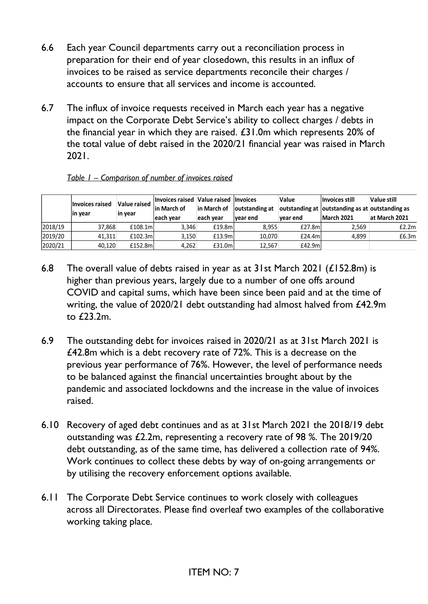- 6.6 Each year Council departments carry out a reconciliation process in preparation for their end of year closedown, this results in an influx of invoices to be raised as service departments reconcile their charges / accounts to ensure that all services and income is accounted.
- 6.7 The influx of invoice requests received in March each year has a negative impact on the Corporate Debt Service's ability to collect charges / debts in the financial year in which they are raised. £31.0m which represents 20% of the total value of debt raised in the 2020/21 financial year was raised in March 2021.

|         | <b>Invoices raised</b><br>in year | Value raised<br>in year | Invoices raised Value raised Invoices<br>lin March of<br>leach vear | in March of<br>leach vear | outstanding at<br>vear end | Value<br>vear end | Invoices still<br>outstanding at outstanding as at outstanding as<br>March 2021 | Value still<br>at March 2021 |
|---------|-----------------------------------|-------------------------|---------------------------------------------------------------------|---------------------------|----------------------------|-------------------|---------------------------------------------------------------------------------|------------------------------|
| 2018/19 | 37,868                            | £108.1m                 | 3,346                                                               | £19.8m                    | 8.955                      | £27.8m            | 2,569                                                                           | £2.2ml                       |
| 2019/20 | 41.311                            | £102.3ml                | 3.150                                                               | £13.9m                    | 10,070                     | £24.4ml           | 4.899                                                                           | £6.3m                        |
| 2020/21 | 40.120                            | £152.8ml                | 4.262                                                               | £31.0m                    | 12.567                     | £42.9ml           |                                                                                 |                              |

#### *Table 1 – Comparison of number of invoices raised*

- 6.8 The overall value of debts raised in year as at 31st March 2021 (£152.8m) is higher than previous years, largely due to a number of one offs around COVID and capital sums, which have been since been paid and at the time of writing, the value of 2020/21 debt outstanding had almost halved from £42.9m to £23.2m.
- 6.9 The outstanding debt for invoices raised in 2020/21 as at 31st March 2021 is £42.8m which is a debt recovery rate of 72%. This is a decrease on the previous year performance of 76%. However, the level of performance needs to be balanced against the financial uncertainties brought about by the pandemic and associated lockdowns and the increase in the value of invoices raised.
- 6.10 Recovery of aged debt continues and as at 31st March 2021 the 2018/19 debt outstanding was £2.2m, representing a recovery rate of 98 %. The 2019/20 debt outstanding, as of the same time, has delivered a collection rate of 94%. Work continues to collect these debts by way of on-going arrangements or by utilising the recovery enforcement options available.
- 6.11 The Corporate Debt Service continues to work closely with colleagues across all Directorates. Please find overleaf two examples of the collaborative working taking place.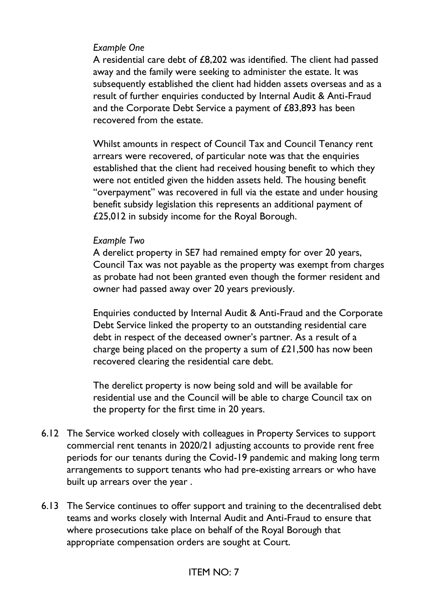#### *Example One*

A residential care debt of £8,202 was identified. The client had passed away and the family were seeking to administer the estate. It was subsequently established the client had hidden assets overseas and as a result of further enquiries conducted by Internal Audit & Anti-Fraud and the Corporate Debt Service a payment of £83,893 has been recovered from the estate.

Whilst amounts in respect of Council Tax and Council Tenancy rent arrears were recovered, of particular note was that the enquiries established that the client had received housing benefit to which they were not entitled given the hidden assets held. The housing benefit "overpayment" was recovered in full via the estate and under housing benefit subsidy legislation this represents an additional payment of £25,012 in subsidy income for the Royal Borough.

## *Example Two*

A derelict property in SE7 had remained empty for over 20 years, Council Tax was not payable as the property was exempt from charges as probate had not been granted even though the former resident and owner had passed away over 20 years previously.

Enquiries conducted by Internal Audit & Anti-Fraud and the Corporate Debt Service linked the property to an outstanding residential care debt in respect of the deceased owner's partner. As a result of a charge being placed on the property a sum of £21,500 has now been recovered clearing the residential care debt.

The derelict property is now being sold and will be available for residential use and the Council will be able to charge Council tax on the property for the first time in 20 years.

- 6.12 The Service worked closely with colleagues in Property Services to support commercial rent tenants in 2020/21 adjusting accounts to provide rent free periods for our tenants during the Covid-19 pandemic and making long term arrangements to support tenants who had pre-existing arrears or who have built up arrears over the year .
- 6.13 The Service continues to offer support and training to the decentralised debt teams and works closely with Internal Audit and Anti-Fraud to ensure that where prosecutions take place on behalf of the Royal Borough that appropriate compensation orders are sought at Court.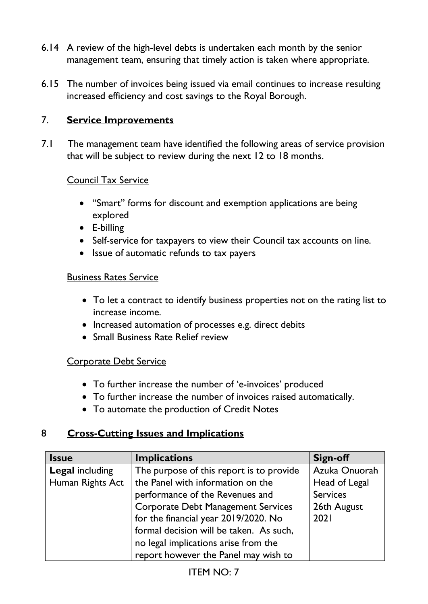- 6.14 A review of the high-level debts is undertaken each month by the senior management team, ensuring that timely action is taken where appropriate.
- 6.15 The number of invoices being issued via email continues to increase resulting increased efficiency and cost savings to the Royal Borough.

## 7. **Service Improvements**

7.1 The management team have identified the following areas of service provision that will be subject to review during the next 12 to 18 months.

#### Council Tax Service

- "Smart" forms for discount and exemption applications are being explored
- E-billing
- Self-service for taxpayers to view their Council tax accounts on line.
- Issue of automatic refunds to tax payers

#### Business Rates Service

- To let a contract to identify business properties not on the rating list to increase income.
- Increased automation of processes e.g. direct debits
- Small Business Rate Relief review

#### Corporate Debt Service

- To further increase the number of 'e-invoices' produced
- To further increase the number of invoices raised automatically.
- To automate the production of Credit Notes

## 8 **Cross-Cutting Issues and Implications**

| <b>Issue</b>           | <b>Implications</b>                       | Sign-off        |
|------------------------|-------------------------------------------|-----------------|
| <b>Legal including</b> | The purpose of this report is to provide  | Azuka Onuorah   |
| Human Rights Act       | the Panel with information on the         | Head of Legal   |
|                        | performance of the Revenues and           | <b>Services</b> |
|                        | <b>Corporate Debt Management Services</b> | 26th August     |
|                        | for the financial year 2019/2020. No      | 2021            |
|                        | formal decision will be taken. As such,   |                 |
|                        | no legal implications arise from the      |                 |
|                        | report however the Panel may wish to      |                 |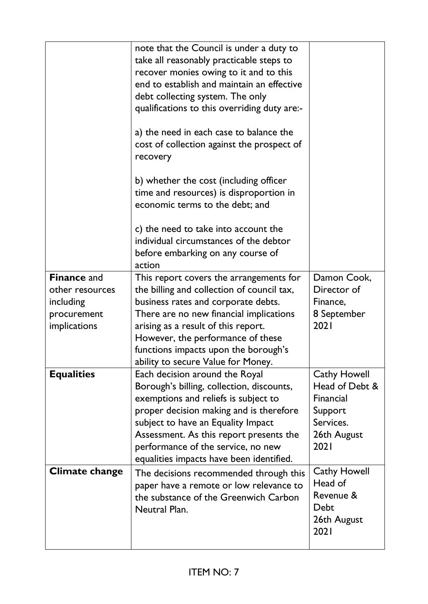|                       | note that the Council is under a duty to<br>take all reasonably practicable steps to<br>recover monies owing to it and to this<br>end to establish and maintain an effective<br>debt collecting system. The only<br>qualifications to this overriding duty are:-<br>a) the need in each case to balance the<br>cost of collection against the prospect of<br>recovery<br>b) whether the cost (including officer<br>time and resources) is disproportion in<br>economic terms to the debt; and<br>c) the need to take into account the<br>individual circumstances of the debtor<br>before embarking on any course of<br>action |                                                                            |
|-----------------------|--------------------------------------------------------------------------------------------------------------------------------------------------------------------------------------------------------------------------------------------------------------------------------------------------------------------------------------------------------------------------------------------------------------------------------------------------------------------------------------------------------------------------------------------------------------------------------------------------------------------------------|----------------------------------------------------------------------------|
| <b>Finance and</b>    | This report covers the arrangements for                                                                                                                                                                                                                                                                                                                                                                                                                                                                                                                                                                                        | Damon Cook,                                                                |
| other resources       | the billing and collection of council tax,                                                                                                                                                                                                                                                                                                                                                                                                                                                                                                                                                                                     | Director of                                                                |
| including             | business rates and corporate debts.                                                                                                                                                                                                                                                                                                                                                                                                                                                                                                                                                                                            | Finance,                                                                   |
| procurement           | There are no new financial implications                                                                                                                                                                                                                                                                                                                                                                                                                                                                                                                                                                                        | 8 September<br>2021                                                        |
| <i>implications</i>   | arising as a result of this report.                                                                                                                                                                                                                                                                                                                                                                                                                                                                                                                                                                                            |                                                                            |
|                       | However, the performance of these                                                                                                                                                                                                                                                                                                                                                                                                                                                                                                                                                                                              |                                                                            |
|                       | functions impacts upon the borough's<br>ability to secure Value for Money.                                                                                                                                                                                                                                                                                                                                                                                                                                                                                                                                                     |                                                                            |
| <b>Equalities</b>     | Each decision around the Royal                                                                                                                                                                                                                                                                                                                                                                                                                                                                                                                                                                                                 | <b>Cathy Howell</b>                                                        |
|                       | Borough's billing, collection, discounts,                                                                                                                                                                                                                                                                                                                                                                                                                                                                                                                                                                                      | Head of Debt &                                                             |
|                       | exemptions and reliefs is subject to                                                                                                                                                                                                                                                                                                                                                                                                                                                                                                                                                                                           | Financial                                                                  |
|                       | proper decision making and is therefore                                                                                                                                                                                                                                                                                                                                                                                                                                                                                                                                                                                        | Support                                                                    |
|                       | subject to have an Equality Impact                                                                                                                                                                                                                                                                                                                                                                                                                                                                                                                                                                                             | Services.                                                                  |
|                       | Assessment. As this report presents the                                                                                                                                                                                                                                                                                                                                                                                                                                                                                                                                                                                        | 26th August                                                                |
|                       | performance of the service, no new                                                                                                                                                                                                                                                                                                                                                                                                                                                                                                                                                                                             | 2021                                                                       |
|                       | equalities impacts have been identified.                                                                                                                                                                                                                                                                                                                                                                                                                                                                                                                                                                                       |                                                                            |
| <b>Climate change</b> | The decisions recommended through this<br>paper have a remote or low relevance to<br>the substance of the Greenwich Carbon<br>Neutral Plan.                                                                                                                                                                                                                                                                                                                                                                                                                                                                                    | <b>Cathy Howell</b><br>Head of<br>Revenue &<br>Debt<br>26th August<br>2021 |